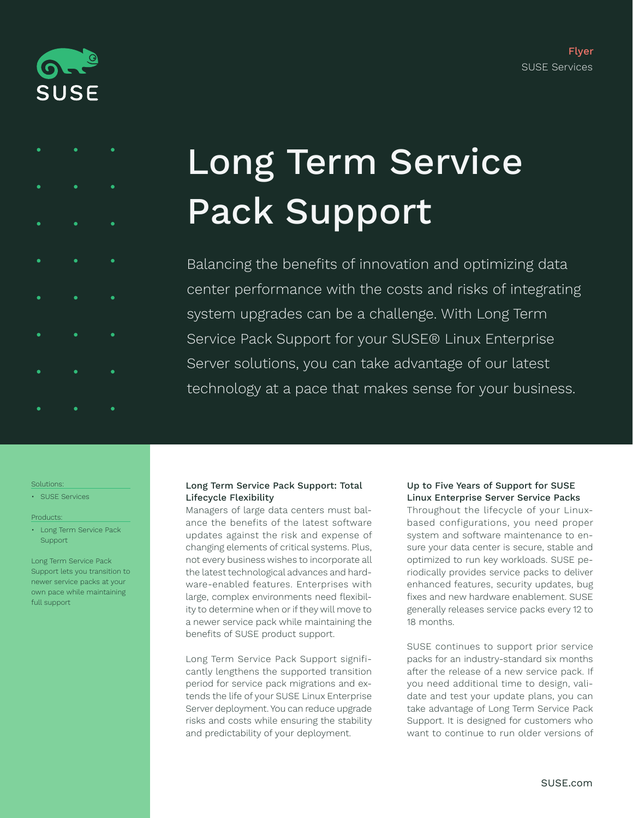



# Long Term Service Pack Support

Balancing the benefits of innovation and optimizing data center performance with the costs and risks of integrating system upgrades can be a challenge. With Long Term Service Pack Support for your SUSE® Linux Enterprise Server solutions, you can take advantage of our latest technology at a pace that makes sense for your business.

#### Solutions:

• SUSE Services

#### Products:

• Long Term Service Pack **Support** 

Long Term Service Pack Support lets you transition to newer service packs at your own pace while maintaining full support

# Long Term Service Pack Support: Total Lifecycle Flexibility

Managers of large data centers must balance the benefits of the latest software updates against the risk and expense of changing elements of critical systems. Plus, not every business wishes to incorporate all the latest technological advances and hardware-enabled features. Enterprises with large, complex environments need flexibility to determine when or if they will move to a newer service pack while maintaining the benefits of SUSE product support.

Long Term Service Pack Support significantly lengthens the supported transition period for service pack migrations and extends the life of your SUSE Linux Enterprise Server deployment. You can reduce upgrade risks and costs while ensuring the stability and predictability of your deployment.

## Up to Five Years of Support for SUSE Linux Enterprise Server Service Packs

Throughout the lifecycle of your Linuxbased configurations, you need proper system and software maintenance to ensure your data center is secure, stable and optimized to run key workloads. SUSE periodically provides service packs to deliver enhanced features, security updates, bug fixes and new hardware enablement. SUSE generally releases service packs every 12 to 18 months.

SUSE continues to support prior service packs for an industry-standard six months after the release of a new service pack. If you need additional time to design, validate and test your update plans, you can take advantage of Long Term Service Pack Support. It is designed for customers who want to continue to run older versions of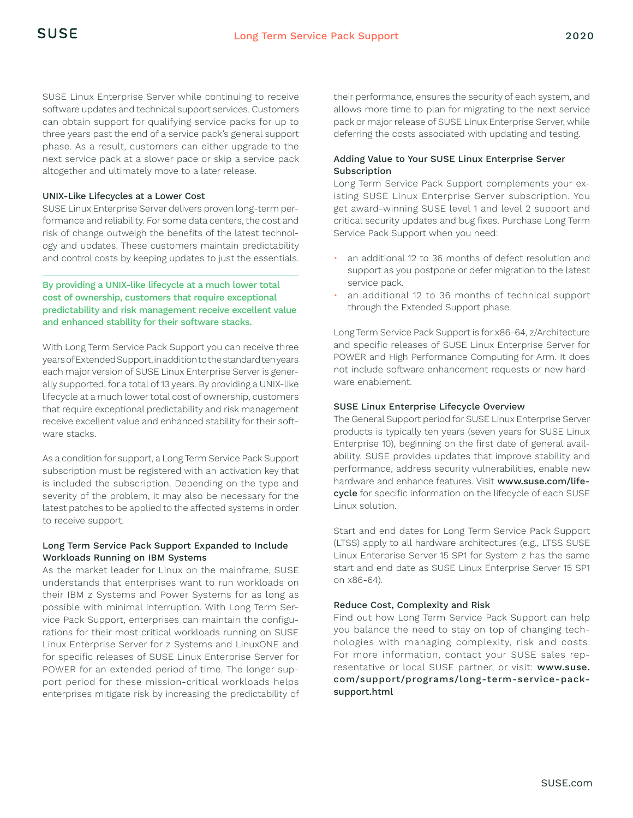SUSE Linux Enterprise Server while continuing to receive software updates and technical support services. Customers can obtain support for qualifying service packs for up to three years past the end of a service pack's general support phase. As a result, customers can either upgrade to the next service pack at a slower pace or skip a service pack altogether and ultimately move to a later release.

#### UNIX-Like Lifecycles at a Lower Cost

SUSE Linux Enterprise Server delivers proven long-term performance and reliability. For some data centers, the cost and risk of change outweigh the benefits of the latest technology and updates. These customers maintain predictability and control costs by keeping updates to just the essentials.

## By providing a UNIX-like lifecycle at a much lower total cost of ownership, customers that require exceptional predictability and risk management receive excellent value and enhanced stability for their software stacks.

With Long Term Service Pack Support you can receive three years of Extended Support, in addition to the standard ten years each major version of SUSE Linux Enterprise Server is generally supported, for a total of 13 years. By providing a UNIX-like lifecycle at a much lower total cost of ownership, customers that require exceptional predictability and risk management receive excellent value and enhanced stability for their software stacks.

As a condition for support, a Long Term Service Pack Support subscription must be registered with an activation key that is included the subscription. Depending on the type and severity of the problem, it may also be necessary for the latest patches to be applied to the affected systems in order to receive support.

### Long Term Service Pack Support Expanded to Include Workloads Running on IBM Systems

As the market leader for Linux on the mainframe, SUSE understands that enterprises want to run workloads on their IBM z Systems and Power Systems for as long as possible with minimal interruption. With Long Term Service Pack Support, enterprises can maintain the configurations for their most critical workloads running on SUSE Linux Enterprise Server for z Systems and LinuxONE and for specific releases of SUSE Linux Enterprise Server for POWER for an extended period of time. The longer support period for these mission-critical workloads helps enterprises mitigate risk by increasing the predictability of their performance, ensures the security of each system, and allows more time to plan for migrating to the next service pack or major release of SUSE Linux Enterprise Server, while deferring the costs associated with updating and testing.

### Adding Value to Your SUSE Linux Enterprise Server Subscription

Long Term Service Pack Support complements your existing SUSE Linux Enterprise Server subscription. You get award-winning SUSE level 1 and level 2 support and critical security updates and bug fixes. Purchase Long Term Service Pack Support when you need:

- an additional 12 to 36 months of defect resolution and support as you postpone or defer migration to the latest service pack.
- an additional 12 to 36 months of technical support through the Extended Support phase.

Long Term Service Pack Support is for x86-64, z/Architecture and specific releases of SUSE Linux Enterprise Server for POWER and High Performance Computing for Arm. It does not include software enhancement requests or new hardware enablement.

### SUSE Linux Enterprise Lifecycle Overview

The General Support period for SUSE Linux Enterprise Server products is typically ten years (seven years for SUSE Linux Enterprise 10), beginning on the first date of general availability. SUSE provides updates that improve stability and performance, address security vulnerabilities, enable new hardware and enhance features. Visit [www.suse.com/life](http://www.suse.com/lifecycle)[cycle](http://www.suse.com/lifecycle) for specific information on the lifecycle of each SUSE Linux solution.

Start and end dates for Long Term Service Pack Support (LTSS) apply to all hardware architectures (e.g., LTSS SUSE Linux Enterprise Server 15 SP1 for System z has the same start and end date as SUSE Linux Enterprise Server 15 SP1 on x86-64).

#### Reduce Cost, Complexity and Risk

Find out how Long Term Service Pack Support can help you balance the need to stay on top of changing technologies with managing complexity, risk and costs. For more information, contact your SUSE sales representative or local SUSE partner, or visit: [www.suse.](http://www.suse.com/support/programs/long-term-service-pack-
support.html) [com/support/programs/long-term-service-pack](http://www.suse.com/support/programs/long-term-service-pack-
support.html)[support.html](http://www.suse.com/support/programs/long-term-service-pack-
support.html)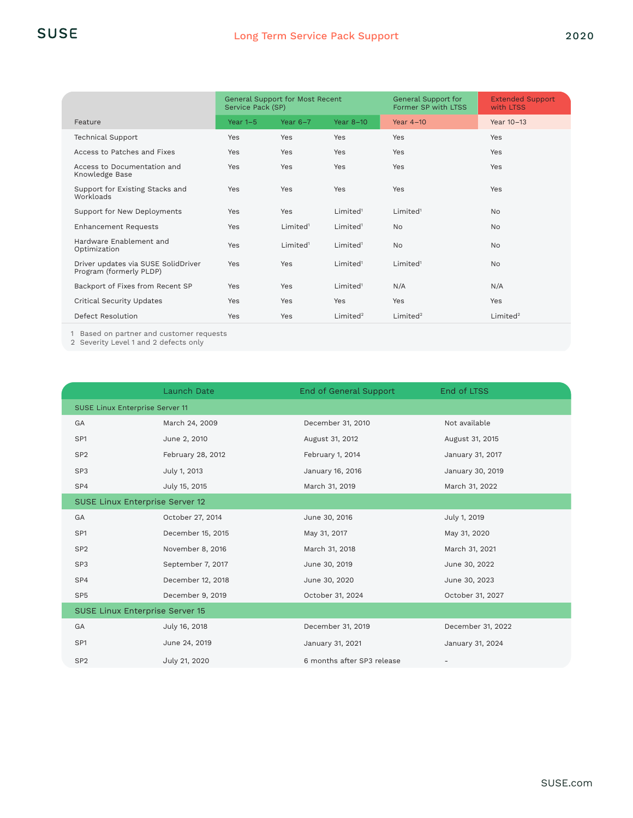|                                                                | <b>General Support for Most Recent</b><br>Service Pack (SP) |                      | General Support for<br>Former SP with LTSS | <b>Extended Support</b><br>with LTSS |                      |
|----------------------------------------------------------------|-------------------------------------------------------------|----------------------|--------------------------------------------|--------------------------------------|----------------------|
| Feature                                                        | Year $1-5$                                                  | Year $6-7$           | Year 8-10                                  | Year 4-10                            | Year 10-13           |
| <b>Technical Support</b>                                       | Yes                                                         | Yes                  | <b>Yes</b>                                 | Yes                                  | Yes                  |
| Access to Patches and Fixes                                    | Yes                                                         | Yes                  | <b>Yes</b>                                 | Yes                                  | Yes                  |
| Access to Documentation and<br>Knowledge Base                  | Yes                                                         | Yes                  | <b>Yes</b>                                 | Yes                                  | Yes                  |
| Support for Existing Stacks and<br>Workloads                   | Yes                                                         | Yes                  | Yes                                        | Yes                                  | Yes                  |
| Support for New Deployments                                    | Yes                                                         | Yes                  | Limited <sup>1</sup>                       | Limited <sup>1</sup>                 | <b>No</b>            |
| <b>Enhancement Requests</b>                                    | Yes                                                         | Limited <sup>1</sup> | Limited <sup>1</sup>                       | <b>No</b>                            | <b>No</b>            |
| Hardware Enablement and<br>Optimization                        | Yes                                                         | Limited <sup>1</sup> | Limited <sup>1</sup>                       | <b>No</b>                            | No                   |
| Driver updates via SUSE SolidDriver<br>Program (formerly PLDP) | Yes                                                         | Yes                  | Limited <sup>1</sup>                       | Limited <sup>1</sup>                 | <b>No</b>            |
| Backport of Fixes from Recent SP                               | Yes                                                         | Yes                  | Limited <sup>1</sup>                       | N/A                                  | N/A                  |
| Critical Security Updates                                      | Yes                                                         | Yes                  | Yes                                        | Yes                                  | Yes                  |
| Defect Resolution                                              | Yes                                                         | Yes                  | Limited <sup>2</sup>                       | Limited <sup>2</sup>                 | Limited <sup>2</sup> |

1 Based on partner and customer requests

2 Severity Level 1 and 2 defects only

|                                 | <b>Launch Date</b> | End of General Support     | End of LTSS       |  |  |  |
|---------------------------------|--------------------|----------------------------|-------------------|--|--|--|
| SUSE Linux Enterprise Server 11 |                    |                            |                   |  |  |  |
| GA                              | March 24, 2009     | December 31, 2010          | Not available     |  |  |  |
| SP <sub>1</sub>                 | June 2, 2010       | August 31, 2012            | August 31, 2015   |  |  |  |
| SP <sub>2</sub>                 | February 28, 2012  | February 1, 2014           | January 31, 2017  |  |  |  |
| SP3                             | July 1, 2013       | January 16, 2016           | January 30, 2019  |  |  |  |
| SP4                             | July 15, 2015      | March 31, 2019             | March 31, 2022    |  |  |  |
| SUSE Linux Enterprise Server 12 |                    |                            |                   |  |  |  |
| GA                              | October 27, 2014   | June 30, 2016              | July 1, 2019      |  |  |  |
| SP <sub>1</sub>                 | December 15, 2015  | May 31, 2017               | May 31, 2020      |  |  |  |
| SP <sub>2</sub>                 | November 8, 2016   | March 31, 2018             | March 31, 2021    |  |  |  |
| SP <sub>3</sub>                 | September 7, 2017  | June 30, 2019              | June 30, 2022     |  |  |  |
| SP4                             | December 12, 2018  | June 30, 2020              | June 30, 2023     |  |  |  |
| SP <sub>5</sub>                 | December 9, 2019   | October 31, 2024           | October 31, 2027  |  |  |  |
| SUSE Linux Enterprise Server 15 |                    |                            |                   |  |  |  |
| GA                              | July 16, 2018      | December 31, 2019          | December 31, 2022 |  |  |  |
| SP <sub>1</sub>                 | June 24, 2019      | January 31, 2021           | January 31, 2024  |  |  |  |
| SP <sub>2</sub>                 | July 21, 2020      | 6 months after SP3 release |                   |  |  |  |